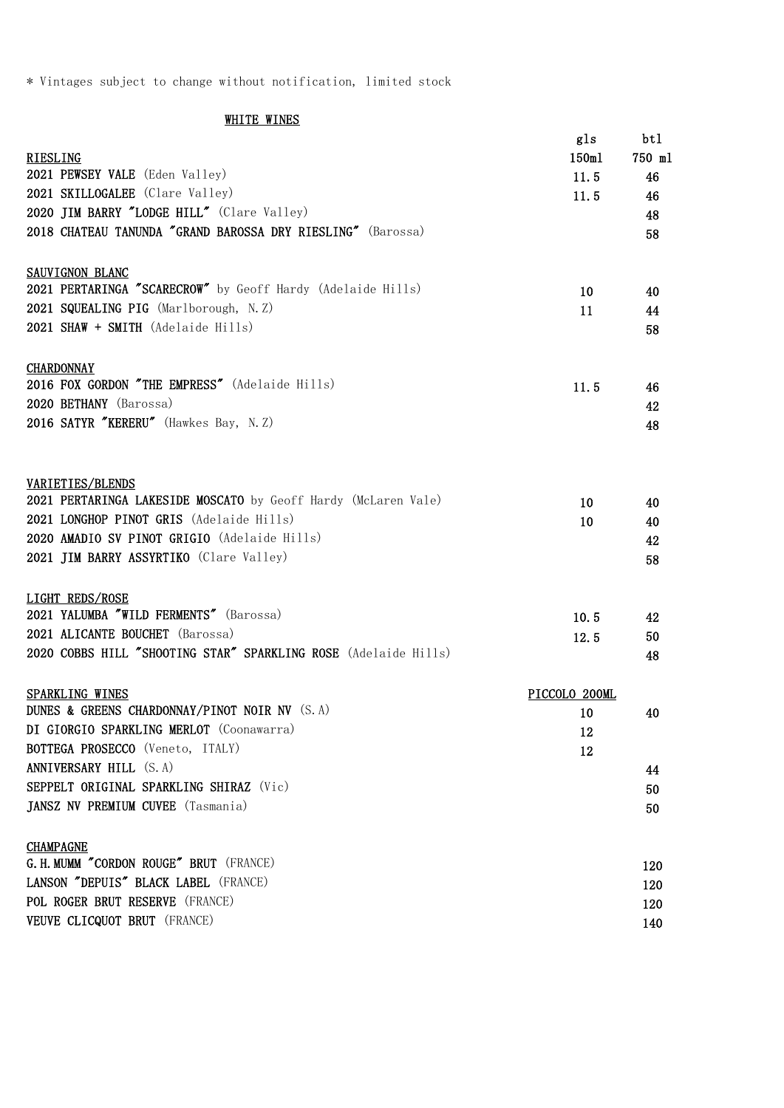\* Vintages subject to change without notification, limited stock

## **WHITE WINES**

|                                                                 | gls           | bt 1         |
|-----------------------------------------------------------------|---------------|--------------|
| <b>RIESLING</b><br>2021 PEWSEY VALE (Eden Valley)               | 150m1<br>11.5 | 750 ml<br>46 |
| 2021 SKILLOGALEE (Clare Valley)                                 | 11.5          | 46           |
| 2020 JIM BARRY "LODGE HILL" (Clare Valley)                      |               | 48           |
| 2018 CHATEAU TANUNDA "GRAND BAROSSA DRY RIESLING" (Barossa)     |               | 58           |
|                                                                 |               |              |
| <b>SAUVIGNON BLANC</b>                                          |               |              |
| 2021 PERTARINGA "SCARECROW" by Geoff Hardy (Adelaide Hills)     | 10            | 40           |
| 2021 SQUEALING PIG (Marlborough, N.Z)                           | 11            | 44           |
| 2021 SHAW + SMITH (Adelaide Hills)                              |               | 58           |
|                                                                 |               |              |
| <b>CHARDONNAY</b>                                               |               |              |
| 2016 FOX GORDON "THE EMPRESS" (Adelaide Hills)                  | 11.5          | 46           |
| 2020 BETHANY (Barossa)                                          |               | 42           |
| 2016 SATYR "KERERU" (Hawkes Bay, N.Z)                           |               | 48           |
|                                                                 |               |              |
| VARIETIES/BLENDS                                                |               |              |
| 2021 PERTARINGA LAKESIDE MOSCATO by Geoff Hardy (McLaren Vale)  | 10            | 40           |
| 2021 LONGHOP PINOT GRIS (Adelaide Hills)                        | 10            | 40           |
| 2020 AMADIO SV PINOT GRIGIO (Adelaide Hills)                    |               | 42           |
| 2021 JIM BARRY ASSYRTIKO (Clare Valley)                         |               | 58           |
|                                                                 |               |              |
| LIGHT REDS/ROSE                                                 |               |              |
| 2021 YALUMBA "WILD FERMENTS" (Barossa)                          | 10.5          | 42           |
| 2021 ALICANTE BOUCHET (Barossa)                                 | 12.5          | 50           |
| 2020 COBBS HILL "SHOOTING STAR" SPARKLING ROSE (Adelaide Hills) |               | 48           |
| SPARKLING WINES                                                 | PICCOLO 200ML |              |
| DUNES & GREENS CHARDONNAY/PINOT NOIR NV (S.A)                   | 10            | 40           |
| DI GIORGIO SPARKLING MERLOT (Coonawarra)                        | 12            |              |
| BOTTEGA PROSECCO (Veneto, ITALY)                                | 12            |              |
| ANNIVERSARY HILL (S. A)                                         |               | 44           |
| SEPPELT ORIGINAL SPARKLING SHIRAZ (Vic)                         |               | 50           |
| JANSZ NV PREMIUM CUVEE (Tasmania)                               |               | 50           |
|                                                                 |               |              |
| <b>CHAMPAGNE</b>                                                |               |              |
| G. H. MUMM "CORDON ROUGE" BRUT (FRANCE)                         |               | 120          |
| LANSON "DEPUIS" BLACK LABEL (FRANCE)                            |               | 120          |
| POL ROGER BRUT RESERVE (FRANCE)                                 |               | 120          |
| VEUVE CLICQUOT BRUT (FRANCE)                                    |               | 140          |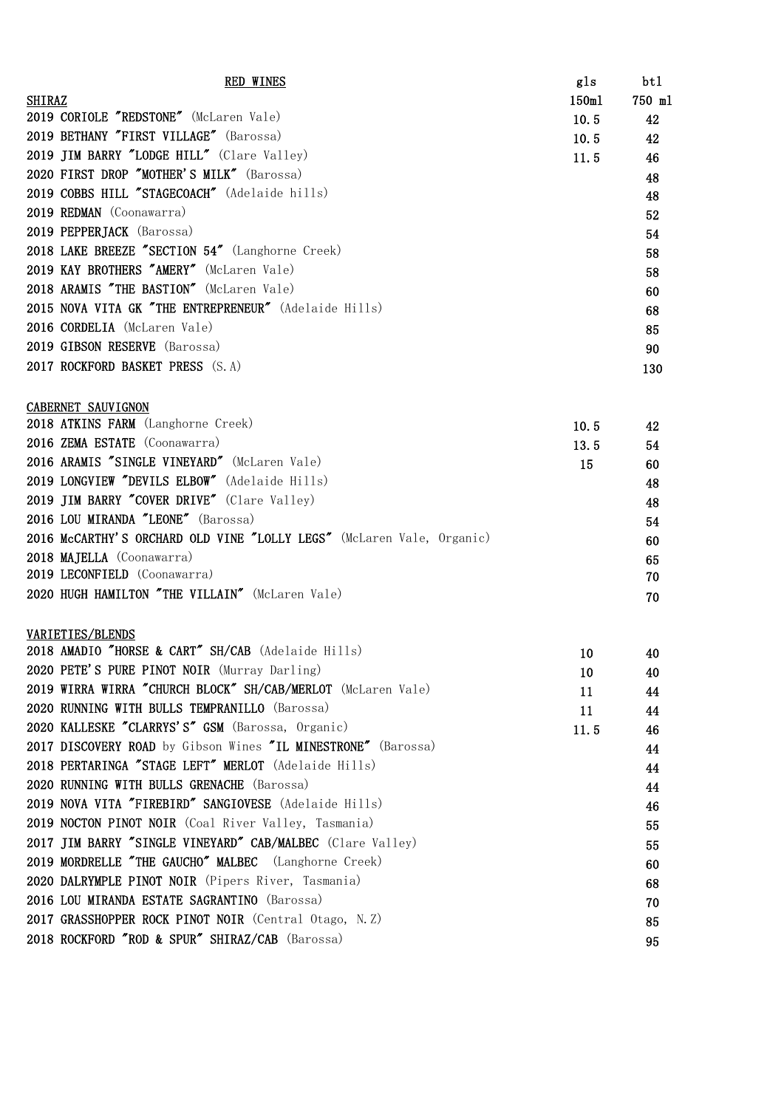| <b>RED WINES</b>                                      | gls   | bt 1   |
|-------------------------------------------------------|-------|--------|
| <b>SHIRAZ</b>                                         | 150m1 | 750 ml |
| 2019 CORIOLE "REDSTONE" (McLaren Vale)                | 10.5  | 42     |
| 2019 BETHANY "FIRST VILLAGE" (Barossa)                | 10.5  | 42     |
| 2019 JIM BARRY "LODGE HILL" (Clare Valley)            | 11.5  | 46     |
| 2020 FIRST DROP "MOTHER'S MILK" (Barossa)             |       | 48     |
| 2019 COBBS HILL "STAGECOACH" (Adelaide hills)         |       | 48     |
| 2019 REDMAN (Coonawarra)                              |       | 52     |
| 2019 PEPPERJACK (Barossa)                             |       | 54     |
| 2018 LAKE BREEZE "SECTION 54" (Langhorne Creek)       |       | 58     |
| 2019 KAY BROTHERS "AMERY" (McLaren Vale)              |       | 58     |
| 2018 ARAMIS "THE BASTION" (McLaren Vale)              |       | 60     |
| 2015 NOVA VITA GK "THE ENTREPRENEUR" (Adelaide Hills) |       | 68     |
| 2016 CORDELIA (McLaren Vale)                          |       | 85     |
| 2019 GIBSON RESERVE (Barossa)                         |       | 90     |
| 2017 ROCKFORD BASKET PRESS (S.A)                      |       | 130    |

## CABERNET SAUVIGNON

| 10.5 | 42 |
|------|----|
| 13.5 | 54 |
| 15   | 60 |
|      | 48 |
|      | 48 |
|      | 54 |
|      | 60 |
|      | 65 |
|      | 70 |
|      | 70 |
|      |    |

# VARIETIES/BLENDS

| VARIETIES/BLENDS                                              |      |    |
|---------------------------------------------------------------|------|----|
| 2018 AMADIO "HORSE & CART" SH/CAB (Adelaide Hills)            | 10   | 40 |
| 2020 PETE'S PURE PINOT NOIR (Murray Darling)                  | 10   | 40 |
| 2019 WIRRA WIRRA "CHURCH BLOCK" SH/CAB/MERLOT (McLaren Vale)  | 11   | 44 |
| 2020 RUNNING WITH BULLS TEMPRANILLO (Barossa)                 | 11   | 44 |
| 2020 KALLESKE "CLARRYS'S" GSM (Barossa, Organic)              | 11.5 | 46 |
| 2017 DISCOVERY ROAD by Gibson Wines "IL MINESTRONE" (Barossa) |      | 44 |
| 2018 PERTARINGA "STAGE LEFT" MERLOT (Adelaide Hills)          |      | 44 |
| 2020 RUNNING WITH BULLS GRENACHE (Barossa)                    |      | 44 |
| 2019 NOVA VITA "FIREBIRD" SANGIOVESE (Adelaide Hills)         |      | 46 |
| 2019 NOCTON PINOT NOIR (Coal River Valley, Tasmania)          |      | 55 |
| 2017 JIM BARRY "SINGLE VINEYARD" CAB/MALBEC (Clare Valley)    |      | 55 |
| 2019 MORDRELLE "THE GAUCHO" MALBEC (Langhorne Creek)          |      | 60 |
| 2020 DALRYMPLE PINOT NOIR (Pipers River, Tasmania)            |      | 68 |
| 2016 LOU MIRANDA ESTATE SAGRANTINO (Barossa)                  |      | 70 |
| 2017 GRASSHOPPER ROCK PINOT NOIR (Central Otago, N.Z)         |      | 85 |
| 2018 ROCKFORD "ROD & SPUR" SHIRAZ/CAB (Barossa)               |      | 95 |
|                                                               |      |    |